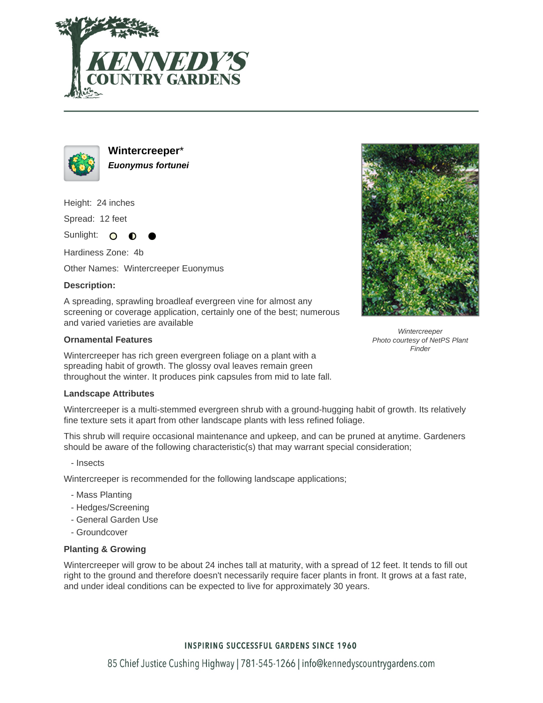



**Wintercreeper**\* **Euonymus fortunei**

Height: 24 inches

Spread: 12 feet

Sunlight: O ∩

Hardiness Zone: 4b

Other Names: Wintercreeper Euonymus

# **Description:**

A spreading, sprawling broadleaf evergreen vine for almost any screening or coverage application, certainly one of the best; numerous and varied varieties are available

# **Ornamental Features**

Wintercreeper has rich green evergreen foliage on a plant with a spreading habit of growth. The glossy oval leaves remain green throughout the winter. It produces pink capsules from mid to late fall.

### **Landscape Attributes**

Wintercreeper is a multi-stemmed evergreen shrub with a ground-hugging habit of growth. Its relatively fine texture sets it apart from other landscape plants with less refined foliage.

This shrub will require occasional maintenance and upkeep, and can be pruned at anytime. Gardeners should be aware of the following characteristic(s) that may warrant special consideration;

- Insects

Wintercreeper is recommended for the following landscape applications;

- Mass Planting
- Hedges/Screening
- General Garden Use
- Groundcover

### **Planting & Growing**

Wintercreeper will grow to be about 24 inches tall at maturity, with a spread of 12 feet. It tends to fill out right to the ground and therefore doesn't necessarily require facer plants in front. It grows at a fast rate, and under ideal conditions can be expected to live for approximately 30 years.



**Wintercreeper** Photo courtesy of NetPS Plant **Finder** 

# **INSPIRING SUCCESSFUL GARDENS SINCE 1960**